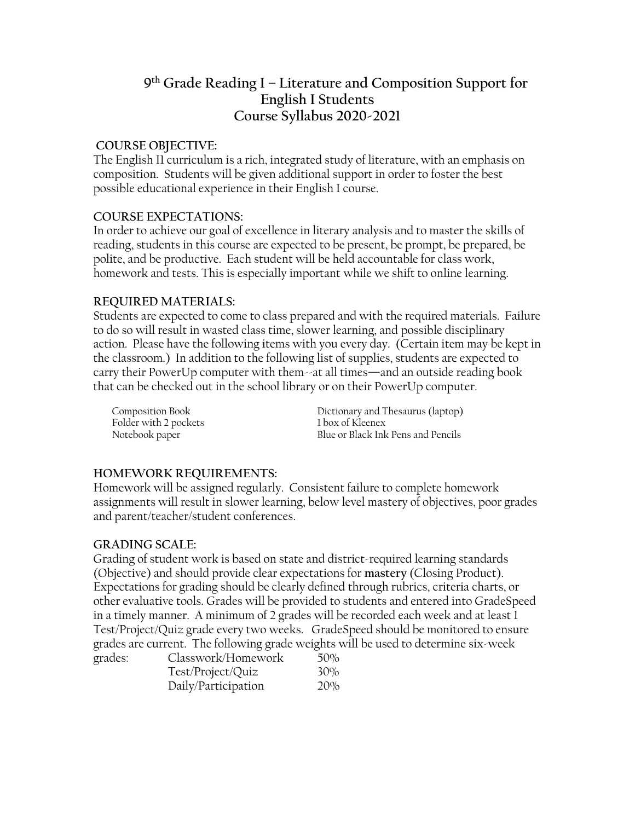# **9 th Grade Reading I – Literature and Composition Support for English I Students Course Syllabus 2020-2021**

#### **COURSE OBJECTIVE:**

The English I1 curriculum is a rich, integrated study of literature, with an emphasis on composition. Students will be given additional support in order to foster the best possible educational experience in their English I course.

### **COURSE EXPECTATIONS:**

In order to achieve our goal of excellence in literary analysis and to master the skills of reading, students in this course are expected to be present, be prompt, be prepared, be polite, and be productive. Each student will be held accountable for class work, homework and tests. This is especially important while we shift to online learning.

#### **REQUIRED MATERIALS:**

Students are expected to come to class prepared and with the required materials. Failure to do so will result in wasted class time, slower learning, and possible disciplinary action. Please have the following items with you every day. (Certain item may be kept in the classroom.) In addition to the following list of supplies, students are expected to carry their PowerUp computer with them--at all times—and an outside reading book that can be checked out in the school library or on their PowerUp computer.

Folder with 2 pockets

Composition Book Dictionary and Thesaurus (laptop) Notebook paper Blue or Black Ink Pens and Pencils

### **HOMEWORK REQUIREMENTS:**

Homework will be assigned regularly. Consistent failure to complete homework assignments will result in slower learning, below level mastery of objectives, poor grades and parent/teacher/student conferences.

### **GRADING SCALE:**

Grading of student work is based on state and district-required learning standards (Objective) and should provide clear expectations for **mastery** (Closing Product). Expectations for grading should be clearly defined through rubrics, criteria charts, or other evaluative tools. Grades will be provided to students and entered into GradeSpeed in a timely manner. A minimum of 2 grades will be recorded each week and at least 1 Test/Project/Quiz grade every two weeks. GradeSpeed should be monitored to ensure grades are current. The following grade weights will be used to determine six-week grades:

| Classwork/Homework  | 50% |
|---------------------|-----|
| Test/Project/Quiz   | 30% |
| Daily/Participation | 20% |